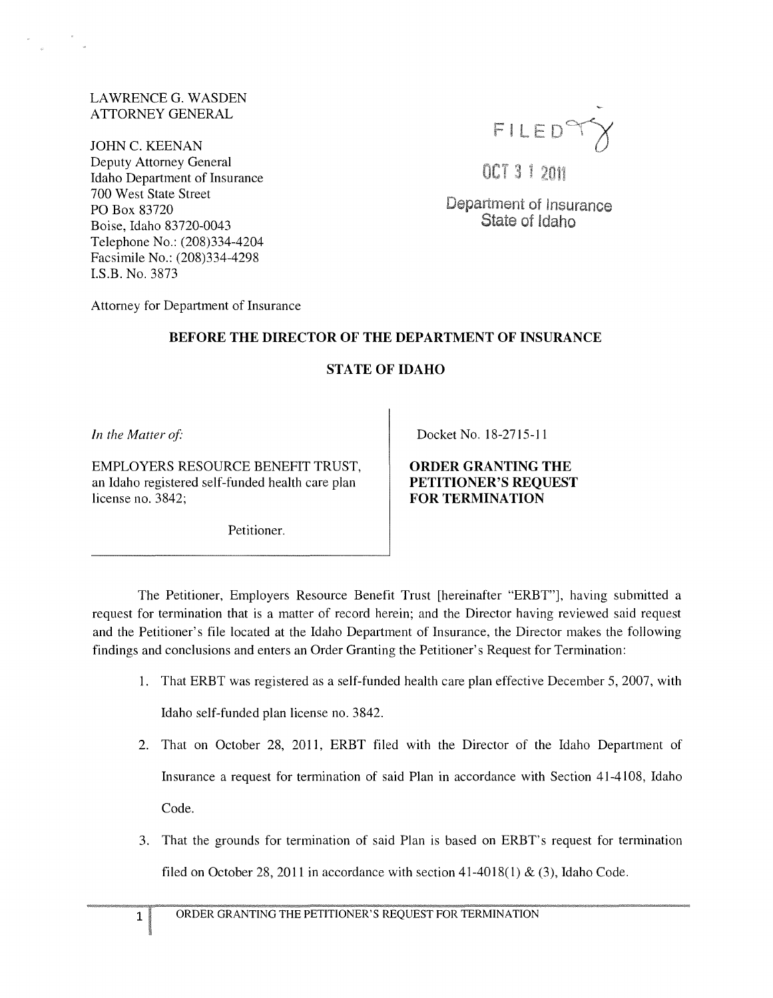## LAWRENCEG. WASDEN ATTORNEY GENERAL

JOHN C. KEENAN Deputy Attorney General Idaho Department of Insurance 700 West State Street PO Box 83720 Boise, Idaho 83720-0043 Telephone No.: (208)334-4204 Facsimile No.: (208)334-4298 I.S.B. No. 3873



OCT 3 1 2011

Department of Insurance State of Idaho

Attorney for Department of Insurance

## BEFORE THE DIRECTOR OF THE DEPARTMENT OF INSURANCE

## STATE OF IDAHO

In the Matter of:

EMPLOYERS RESOURCE BENEFIT TRUST, an Idaho registered self-funded health care plan license no. 3842;

Petitioner.

Docket No. 18-2715-11

ORDER GRANTING THE PETITIONER'S REQUEST FOR TERMINATION

The Petitioner, Employers Resource Benefit Trust [hereinafter "ERBT"], having submitted a request for termination that is a matter of record herein; and the Director having reviewed said request and the Petitioner's file located at the Idaho Department of Insurance, the Director makes the following findings and conclusions and enters an Order Granting the Petitioner's Request for Termination:

1. That ERBT was registered as a self-funded health care plan effective December 5,2007, with Idaho self-funded plan license no. 3842.

2. That on October 28, 2011, ERBT filed with the Director of the Idaho Department of Insurance a request for termination of said Plan in accordance with Section 41-4108, Idaho

Code.

3. That the grounds for termination of said Plan is based on ERBT's request for termination filed on October 28, 2011 in accordance with section  $41-4018(1)$  & (3), Idaho Code.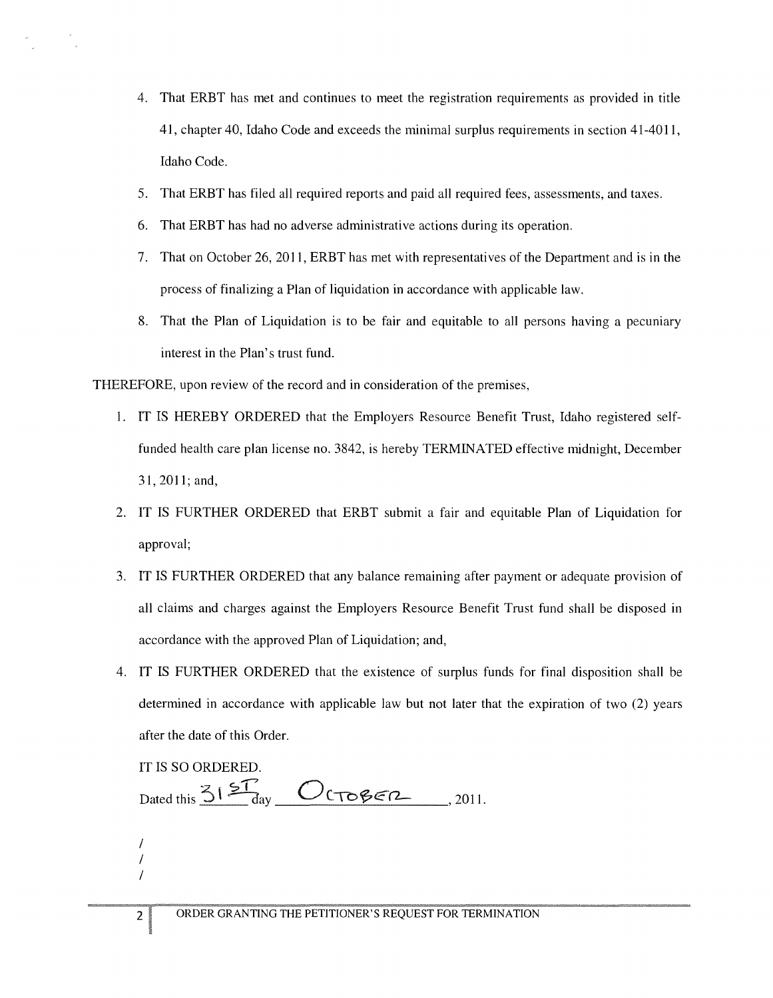- 4. That ERBT has met and continues to meet the registration requirements as provided in title 41, chapter 40, Idaho Code and exceeds the minimal surplus requirements in section 41-4011, Idaho Code.
- 5. That ERBT has filed all required reports and paid all required fees, assessments, and taxes.
- 6. That ERBT has had no adverse administrative actions during its operation.
- 7. That on October 26,2011, ERBT has met with representatives of the Department and is in the process of finalizing a Plan of liquidation in accordance with applicable law.
- 8. That the Plan of Liquidation is to be fair and equitable to all persons having a pecuniary interest in the Plan's trust fund.

THEREFORE, upon review of the record and in consideration of the premises,

- I. IT IS HEREBY ORDERED that the Employers Resource Benefit Trust, Idaho registered selffunded health care plan license no. 3842, is hereby TERMINATED effective midnight, December 31, 2011; and,
- 2. IT IS FURTHER ORDERED that ERBT submit a fair and equitable Plan of Liquidation for approval;
- 3. IT IS FURTHER ORDERED that any balance remaining after payment or adequate provision of all claims and charges against the Employers Resource Benefit Trust fund shall be disposed in accordance with the approved Plan of Liquidation; and,
- 4. IT IS FURTHER ORDERED that the existence of surplus funds for final disposition shall be determined in accordance with applicable law but not later that the expiration of two (2) years after the date of this Order.

IT IS SO ORDERED.

Dated this  $31\frac{57}{9}$   $O$   $C$   $\sqrt{686}$   $n$ , 2011.

/ / /